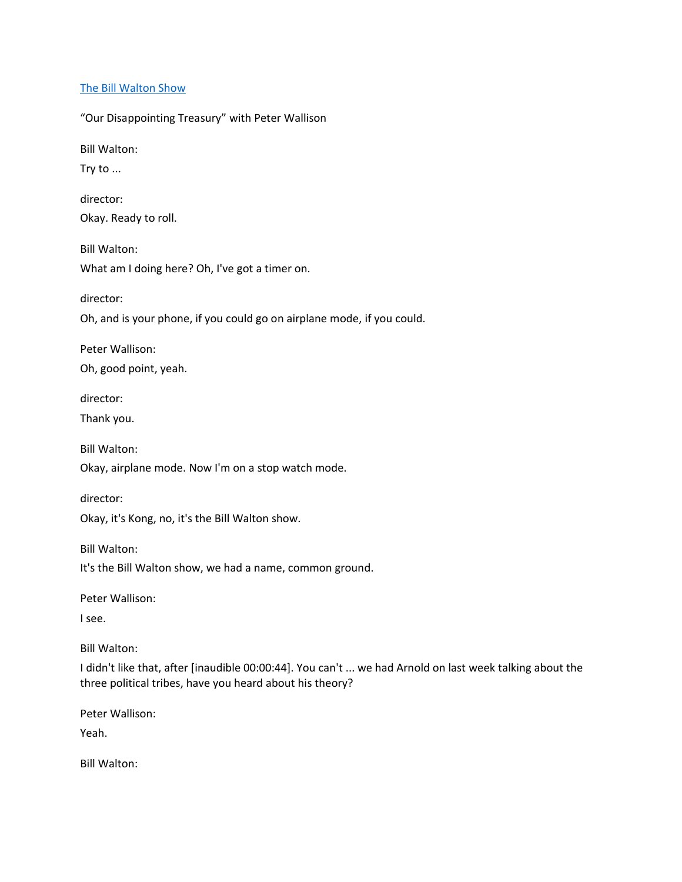## [The Bill Walton Show](https://thebillwaltonshow.com/)

"Our Disappointing Treasury" with Peter Wallison

Bill Walton:

Try to ...

director: Okay. Ready to roll.

Bill Walton: What am I doing here? Oh, I've got a timer on.

director:

Oh, and is your phone, if you could go on airplane mode, if you could.

Peter Wallison:

Oh, good point, yeah.

director:

Thank you.

Bill Walton:

Okay, airplane mode. Now I'm on a stop watch mode.

director:

Okay, it's Kong, no, it's the Bill Walton show.

Bill Walton:

It's the Bill Walton show, we had a name, common ground.

Peter Wallison:

I see.

Bill Walton:

I didn't like that, after [inaudible 00:00:44]. You can't ... we had Arnold on last week talking about the three political tribes, have you heard about his theory?

Peter Wallison:

Yeah.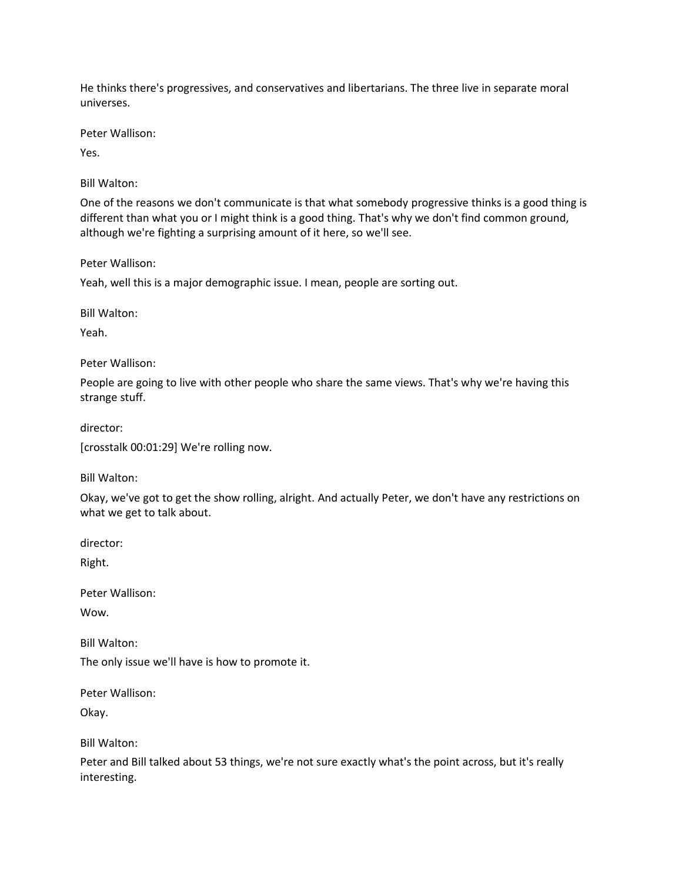He thinks there's progressives, and conservatives and libertarians. The three live in separate moral universes.

Peter Wallison:

Yes.

Bill Walton:

One of the reasons we don't communicate is that what somebody progressive thinks is a good thing is different than what you or I might think is a good thing. That's why we don't find common ground, although we're fighting a surprising amount of it here, so we'll see.

Peter Wallison:

Yeah, well this is a major demographic issue. I mean, people are sorting out.

Bill Walton:

Yeah.

Peter Wallison:

People are going to live with other people who share the same views. That's why we're having this strange stuff.

director:

[crosstalk 00:01:29] We're rolling now.

Bill Walton:

Okay, we've got to get the show rolling, alright. And actually Peter, we don't have any restrictions on what we get to talk about.

director:

Right.

Peter Wallison:

Wow.

Bill Walton:

The only issue we'll have is how to promote it.

Peter Wallison:

Okay.

Bill Walton:

Peter and Bill talked about 53 things, we're not sure exactly what's the point across, but it's really interesting.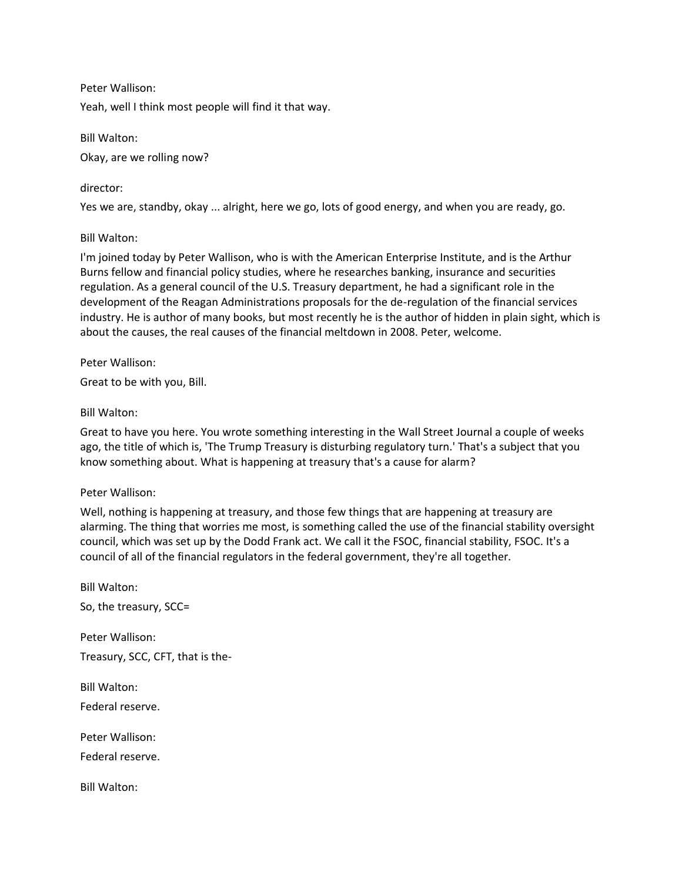Peter Wallison:

Yeah, well I think most people will find it that way.

Bill Walton: Okay, are we rolling now?

director:

Yes we are, standby, okay ... alright, here we go, lots of good energy, and when you are ready, go.

Bill Walton:

I'm joined today by Peter Wallison, who is with the American Enterprise Institute, and is the Arthur Burns fellow and financial policy studies, where he researches banking, insurance and securities regulation. As a general council of the U.S. Treasury department, he had a significant role in the development of the Reagan Administrations proposals for the de-regulation of the financial services industry. He is author of many books, but most recently he is the author of hidden in plain sight, which is about the causes, the real causes of the financial meltdown in 2008. Peter, welcome.

Peter Wallison:

Great to be with you, Bill.

Bill Walton:

Great to have you here. You wrote something interesting in the Wall Street Journal a couple of weeks ago, the title of which is, 'The Trump Treasury is disturbing regulatory turn.' That's a subject that you know something about. What is happening at treasury that's a cause for alarm?

Peter Wallison:

Well, nothing is happening at treasury, and those few things that are happening at treasury are alarming. The thing that worries me most, is something called the use of the financial stability oversight council, which was set up by the Dodd Frank act. We call it the FSOC, financial stability, FSOC. It's a council of all of the financial regulators in the federal government, they're all together.

Bill Walton: So, the treasury, SCC= Peter Wallison: Treasury, SCC, CFT, that is the-Bill Walton: Federal reserve. Peter Wallison: Federal reserve. Bill Walton: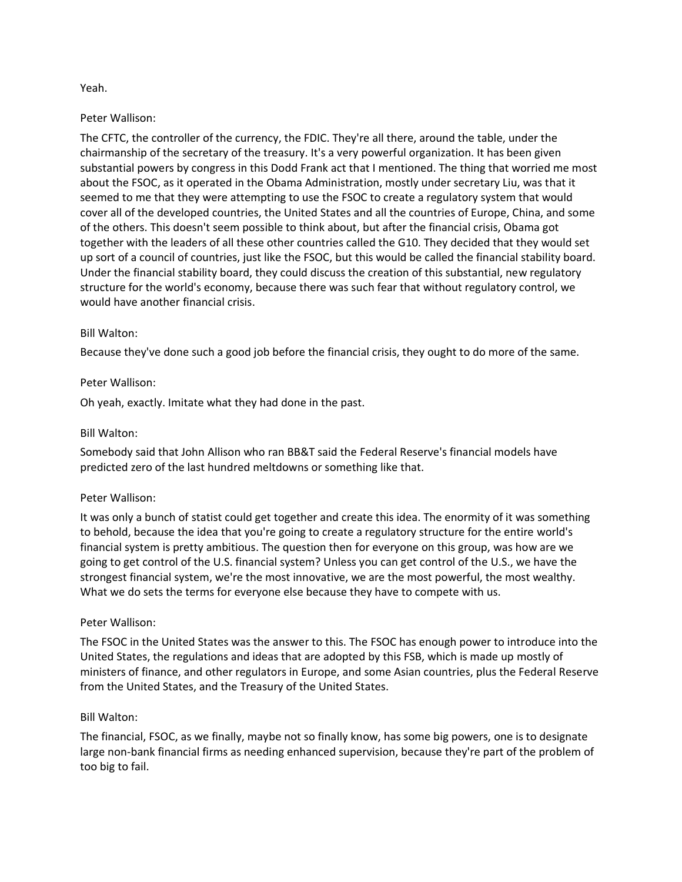## Yeah.

### Peter Wallison:

The CFTC, the controller of the currency, the FDIC. They're all there, around the table, under the chairmanship of the secretary of the treasury. It's a very powerful organization. It has been given substantial powers by congress in this Dodd Frank act that I mentioned. The thing that worried me most about the FSOC, as it operated in the Obama Administration, mostly under secretary Liu, was that it seemed to me that they were attempting to use the FSOC to create a regulatory system that would cover all of the developed countries, the United States and all the countries of Europe, China, and some of the others. This doesn't seem possible to think about, but after the financial crisis, Obama got together with the leaders of all these other countries called the G10. They decided that they would set up sort of a council of countries, just like the FSOC, but this would be called the financial stability board. Under the financial stability board, they could discuss the creation of this substantial, new regulatory structure for the world's economy, because there was such fear that without regulatory control, we would have another financial crisis.

### Bill Walton:

Because they've done such a good job before the financial crisis, they ought to do more of the same.

## Peter Wallison:

Oh yeah, exactly. Imitate what they had done in the past.

### Bill Walton:

Somebody said that John Allison who ran BB&T said the Federal Reserve's financial models have predicted zero of the last hundred meltdowns or something like that.

#### Peter Wallison:

It was only a bunch of statist could get together and create this idea. The enormity of it was something to behold, because the idea that you're going to create a regulatory structure for the entire world's financial system is pretty ambitious. The question then for everyone on this group, was how are we going to get control of the U.S. financial system? Unless you can get control of the U.S., we have the strongest financial system, we're the most innovative, we are the most powerful, the most wealthy. What we do sets the terms for everyone else because they have to compete with us.

#### Peter Wallison:

The FSOC in the United States was the answer to this. The FSOC has enough power to introduce into the United States, the regulations and ideas that are adopted by this FSB, which is made up mostly of ministers of finance, and other regulators in Europe, and some Asian countries, plus the Federal Reserve from the United States, and the Treasury of the United States.

#### Bill Walton:

The financial, FSOC, as we finally, maybe not so finally know, has some big powers, one is to designate large non-bank financial firms as needing enhanced supervision, because they're part of the problem of too big to fail.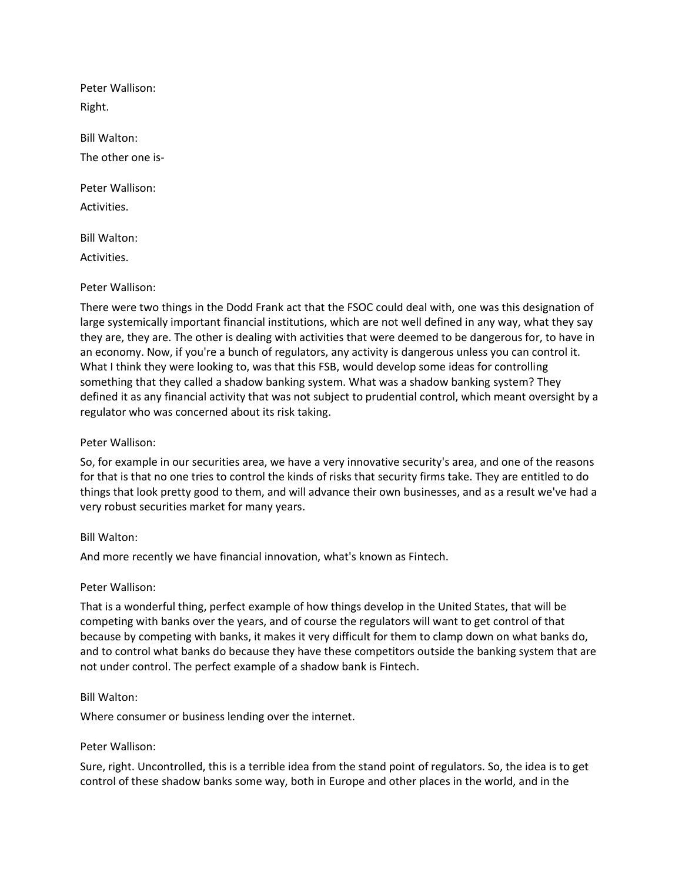Peter Wallison: Right. Bill Walton: The other one is-Peter Wallison: Activities. Bill Walton: Activities.

### Peter Wallison:

There were two things in the Dodd Frank act that the FSOC could deal with, one was this designation of large systemically important financial institutions, which are not well defined in any way, what they say they are, they are. The other is dealing with activities that were deemed to be dangerous for, to have in an economy. Now, if you're a bunch of regulators, any activity is dangerous unless you can control it. What I think they were looking to, was that this FSB, would develop some ideas for controlling something that they called a shadow banking system. What was a shadow banking system? They defined it as any financial activity that was not subject to prudential control, which meant oversight by a regulator who was concerned about its risk taking.

#### Peter Wallison:

So, for example in our securities area, we have a very innovative security's area, and one of the reasons for that is that no one tries to control the kinds of risks that security firms take. They are entitled to do things that look pretty good to them, and will advance their own businesses, and as a result we've had a very robust securities market for many years.

#### Bill Walton:

And more recently we have financial innovation, what's known as Fintech.

#### Peter Wallison:

That is a wonderful thing, perfect example of how things develop in the United States, that will be competing with banks over the years, and of course the regulators will want to get control of that because by competing with banks, it makes it very difficult for them to clamp down on what banks do, and to control what banks do because they have these competitors outside the banking system that are not under control. The perfect example of a shadow bank is Fintech.

#### Bill Walton:

Where consumer or business lending over the internet.

#### Peter Wallison:

Sure, right. Uncontrolled, this is a terrible idea from the stand point of regulators. So, the idea is to get control of these shadow banks some way, both in Europe and other places in the world, and in the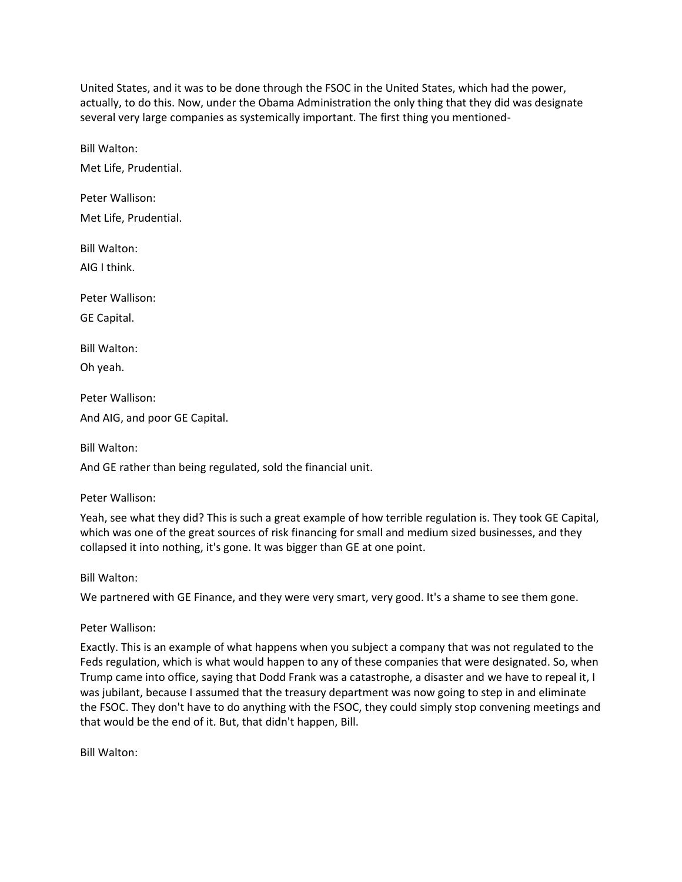United States, and it was to be done through the FSOC in the United States, which had the power, actually, to do this. Now, under the Obama Administration the only thing that they did was designate several very large companies as systemically important. The first thing you mentioned-

Bill Walton:

Met Life, Prudential.

Peter Wallison: Met Life, Prudential.

Bill Walton: AIG I think.

Peter Wallison:

GE Capital.

Bill Walton:

Oh yeah.

Peter Wallison:

And AIG, and poor GE Capital.

Bill Walton:

And GE rather than being regulated, sold the financial unit.

Peter Wallison:

Yeah, see what they did? This is such a great example of how terrible regulation is. They took GE Capital, which was one of the great sources of risk financing for small and medium sized businesses, and they collapsed it into nothing, it's gone. It was bigger than GE at one point.

Bill Walton:

We partnered with GE Finance, and they were very smart, very good. It's a shame to see them gone.

Peter Wallison:

Exactly. This is an example of what happens when you subject a company that was not regulated to the Feds regulation, which is what would happen to any of these companies that were designated. So, when Trump came into office, saying that Dodd Frank was a catastrophe, a disaster and we have to repeal it, I was jubilant, because I assumed that the treasury department was now going to step in and eliminate the FSOC. They don't have to do anything with the FSOC, they could simply stop convening meetings and that would be the end of it. But, that didn't happen, Bill.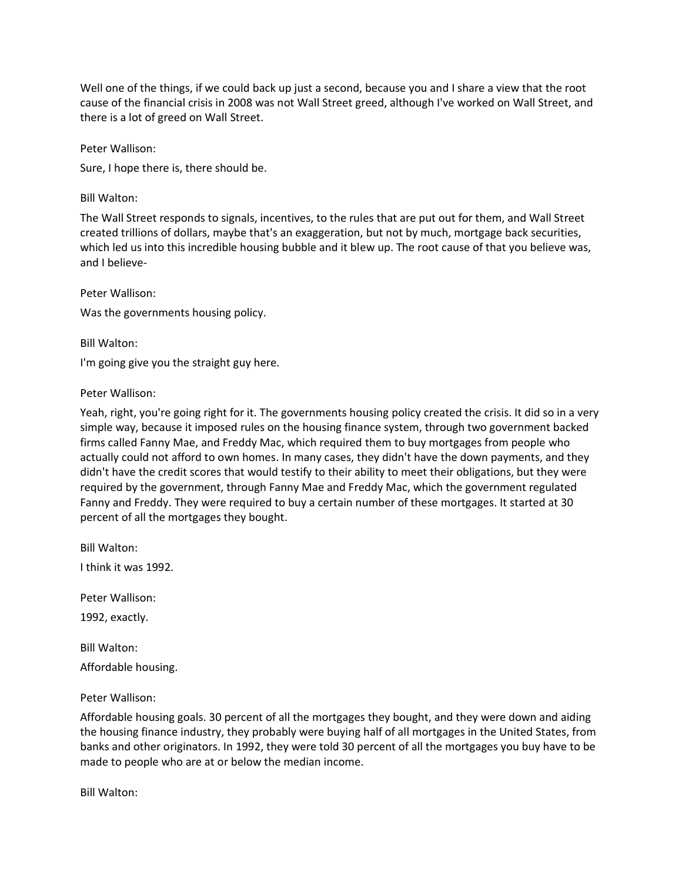Well one of the things, if we could back up just a second, because you and I share a view that the root cause of the financial crisis in 2008 was not Wall Street greed, although I've worked on Wall Street, and there is a lot of greed on Wall Street.

Peter Wallison:

Sure, I hope there is, there should be.

Bill Walton:

The Wall Street responds to signals, incentives, to the rules that are put out for them, and Wall Street created trillions of dollars, maybe that's an exaggeration, but not by much, mortgage back securities, which led us into this incredible housing bubble and it blew up. The root cause of that you believe was, and I believe-

Peter Wallison:

Was the governments housing policy.

Bill Walton:

I'm going give you the straight guy here.

Peter Wallison:

Yeah, right, you're going right for it. The governments housing policy created the crisis. It did so in a very simple way, because it imposed rules on the housing finance system, through two government backed firms called Fanny Mae, and Freddy Mac, which required them to buy mortgages from people who actually could not afford to own homes. In many cases, they didn't have the down payments, and they didn't have the credit scores that would testify to their ability to meet their obligations, but they were required by the government, through Fanny Mae and Freddy Mac, which the government regulated Fanny and Freddy. They were required to buy a certain number of these mortgages. It started at 30 percent of all the mortgages they bought.

Bill Walton: I think it was 1992.

Peter Wallison:

1992, exactly.

Bill Walton:

Affordable housing.

Peter Wallison:

Affordable housing goals. 30 percent of all the mortgages they bought, and they were down and aiding the housing finance industry, they probably were buying half of all mortgages in the United States, from banks and other originators. In 1992, they were told 30 percent of all the mortgages you buy have to be made to people who are at or below the median income.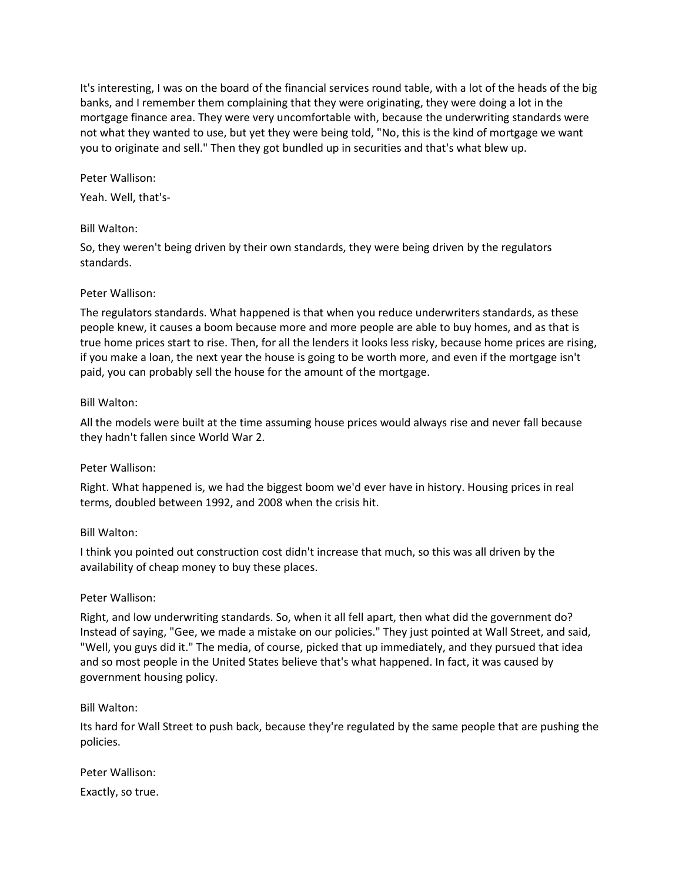It's interesting, I was on the board of the financial services round table, with a lot of the heads of the big banks, and I remember them complaining that they were originating, they were doing a lot in the mortgage finance area. They were very uncomfortable with, because the underwriting standards were not what they wanted to use, but yet they were being told, "No, this is the kind of mortgage we want you to originate and sell." Then they got bundled up in securities and that's what blew up.

Peter Wallison:

Yeah. Well, that's-

### Bill Walton:

So, they weren't being driven by their own standards, they were being driven by the regulators standards.

### Peter Wallison:

The regulators standards. What happened is that when you reduce underwriters standards, as these people knew, it causes a boom because more and more people are able to buy homes, and as that is true home prices start to rise. Then, for all the lenders it looks less risky, because home prices are rising, if you make a loan, the next year the house is going to be worth more, and even if the mortgage isn't paid, you can probably sell the house for the amount of the mortgage.

#### Bill Walton:

All the models were built at the time assuming house prices would always rise and never fall because they hadn't fallen since World War 2.

## Peter Wallison:

Right. What happened is, we had the biggest boom we'd ever have in history. Housing prices in real terms, doubled between 1992, and 2008 when the crisis hit.

#### Bill Walton:

I think you pointed out construction cost didn't increase that much, so this was all driven by the availability of cheap money to buy these places.

#### Peter Wallison:

Right, and low underwriting standards. So, when it all fell apart, then what did the government do? Instead of saying, "Gee, we made a mistake on our policies." They just pointed at Wall Street, and said, "Well, you guys did it." The media, of course, picked that up immediately, and they pursued that idea and so most people in the United States believe that's what happened. In fact, it was caused by government housing policy.

#### Bill Walton:

Its hard for Wall Street to push back, because they're regulated by the same people that are pushing the policies.

# Peter Wallison:

Exactly, so true.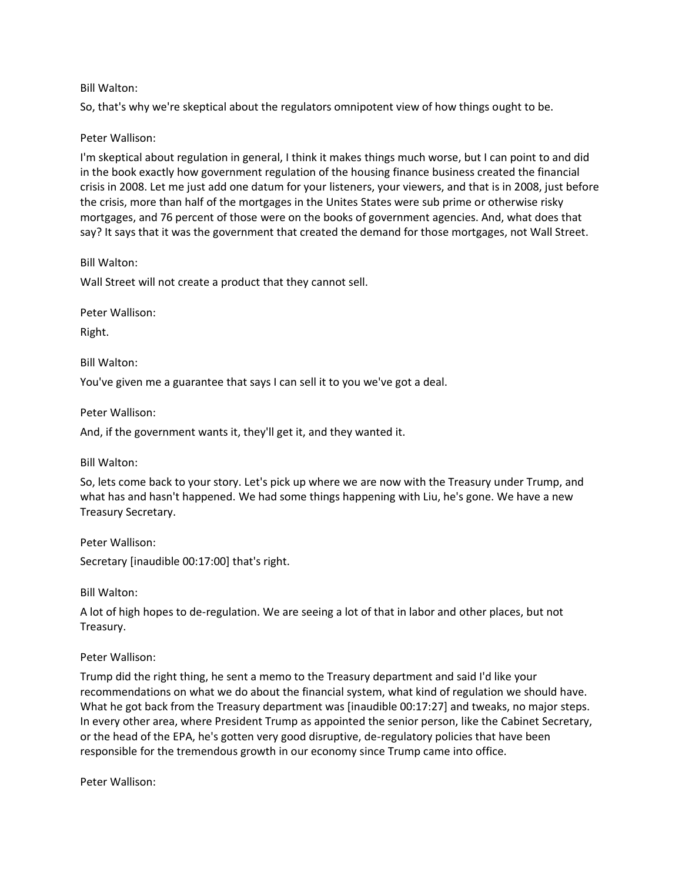## Bill Walton:

So, that's why we're skeptical about the regulators omnipotent view of how things ought to be.

## Peter Wallison:

I'm skeptical about regulation in general, I think it makes things much worse, but I can point to and did in the book exactly how government regulation of the housing finance business created the financial crisis in 2008. Let me just add one datum for your listeners, your viewers, and that is in 2008, just before the crisis, more than half of the mortgages in the Unites States were sub prime or otherwise risky mortgages, and 76 percent of those were on the books of government agencies. And, what does that say? It says that it was the government that created the demand for those mortgages, not Wall Street.

Bill Walton:

Wall Street will not create a product that they cannot sell.

Peter Wallison:

Right.

Bill Walton:

You've given me a guarantee that says I can sell it to you we've got a deal.

Peter Wallison:

And, if the government wants it, they'll get it, and they wanted it.

Bill Walton:

So, lets come back to your story. Let's pick up where we are now with the Treasury under Trump, and what has and hasn't happened. We had some things happening with Liu, he's gone. We have a new Treasury Secretary.

Peter Wallison:

Secretary [inaudible 00:17:00] that's right.

Bill Walton:

A lot of high hopes to de-regulation. We are seeing a lot of that in labor and other places, but not Treasury.

## Peter Wallison:

Trump did the right thing, he sent a memo to the Treasury department and said I'd like your recommendations on what we do about the financial system, what kind of regulation we should have. What he got back from the Treasury department was [inaudible 00:17:27] and tweaks, no major steps. In every other area, where President Trump as appointed the senior person, like the Cabinet Secretary, or the head of the EPA, he's gotten very good disruptive, de-regulatory policies that have been responsible for the tremendous growth in our economy since Trump came into office.

Peter Wallison: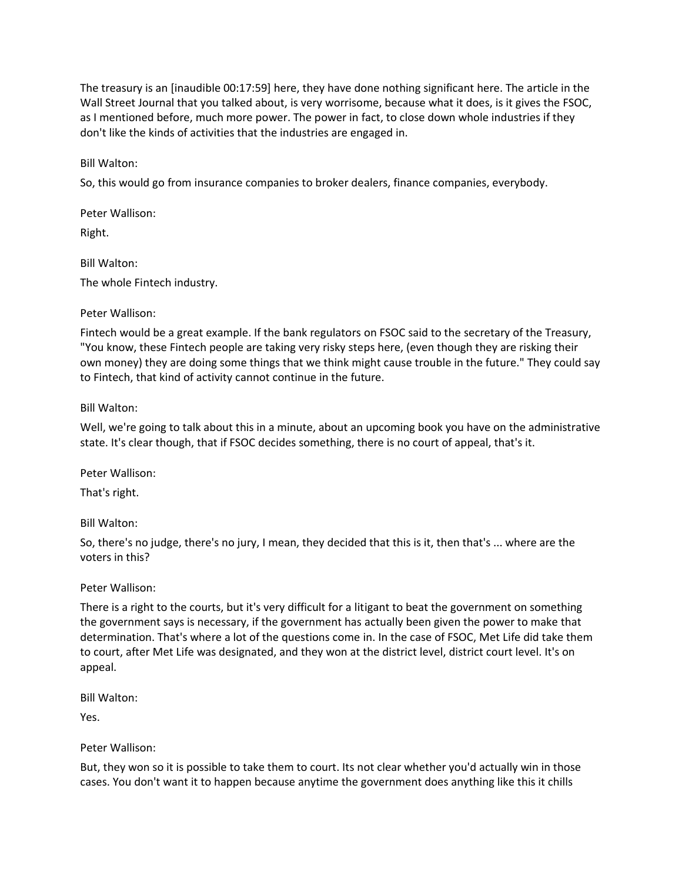The treasury is an [inaudible 00:17:59] here, they have done nothing significant here. The article in the Wall Street Journal that you talked about, is very worrisome, because what it does, is it gives the FSOC, as I mentioned before, much more power. The power in fact, to close down whole industries if they don't like the kinds of activities that the industries are engaged in.

Bill Walton:

So, this would go from insurance companies to broker dealers, finance companies, everybody.

Peter Wallison:

Right.

Bill Walton: The whole Fintech industry.

## Peter Wallison:

Fintech would be a great example. If the bank regulators on FSOC said to the secretary of the Treasury, "You know, these Fintech people are taking very risky steps here, (even though they are risking their own money) they are doing some things that we think might cause trouble in the future." They could say to Fintech, that kind of activity cannot continue in the future.

# Bill Walton:

Well, we're going to talk about this in a minute, about an upcoming book you have on the administrative state. It's clear though, that if FSOC decides something, there is no court of appeal, that's it.

Peter Wallison:

That's right.

Bill Walton:

So, there's no judge, there's no jury, I mean, they decided that this is it, then that's ... where are the voters in this?

# Peter Wallison:

There is a right to the courts, but it's very difficult for a litigant to beat the government on something the government says is necessary, if the government has actually been given the power to make that determination. That's where a lot of the questions come in. In the case of FSOC, Met Life did take them to court, after Met Life was designated, and they won at the district level, district court level. It's on appeal.

Bill Walton:

Yes.

Peter Wallison:

But, they won so it is possible to take them to court. Its not clear whether you'd actually win in those cases. You don't want it to happen because anytime the government does anything like this it chills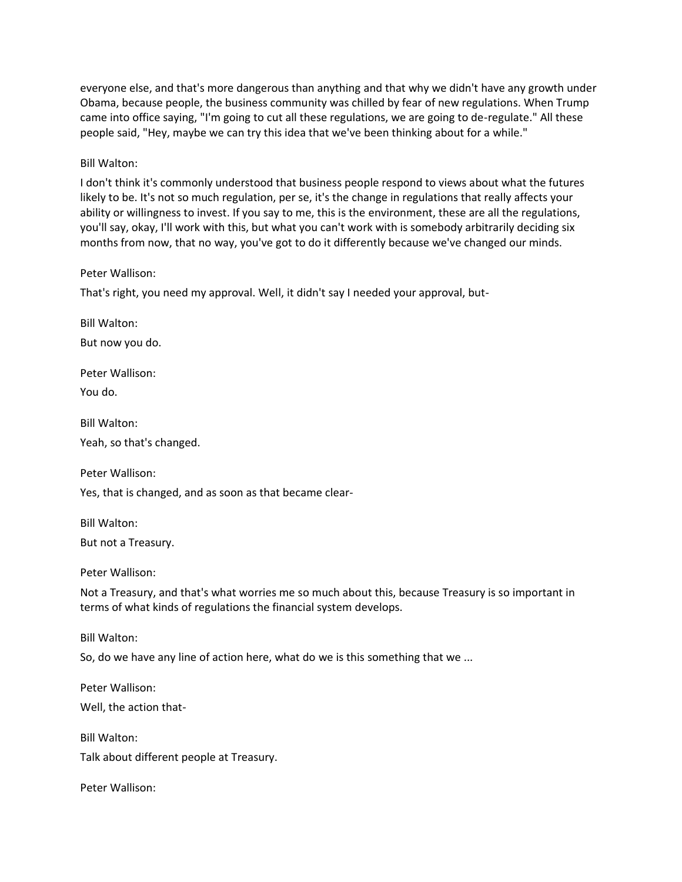everyone else, and that's more dangerous than anything and that why we didn't have any growth under Obama, because people, the business community was chilled by fear of new regulations. When Trump came into office saying, "I'm going to cut all these regulations, we are going to de-regulate." All these people said, "Hey, maybe we can try this idea that we've been thinking about for a while."

Bill Walton:

I don't think it's commonly understood that business people respond to views about what the futures likely to be. It's not so much regulation, per se, it's the change in regulations that really affects your ability or willingness to invest. If you say to me, this is the environment, these are all the regulations, you'll say, okay, I'll work with this, but what you can't work with is somebody arbitrarily deciding six months from now, that no way, you've got to do it differently because we've changed our minds.

Peter Wallison:

That's right, you need my approval. Well, it didn't say I needed your approval, but-

Bill Walton:

But now you do.

Peter Wallison:

You do.

Bill Walton:

Yeah, so that's changed.

Peter Wallison:

Yes, that is changed, and as soon as that became clear-

Bill Walton: But not a Treasury.

Peter Wallison:

Not a Treasury, and that's what worries me so much about this, because Treasury is so important in terms of what kinds of regulations the financial system develops.

Bill Walton:

So, do we have any line of action here, what do we is this something that we ...

Peter Wallison: Well, the action that-

Bill Walton: Talk about different people at Treasury.

Peter Wallison: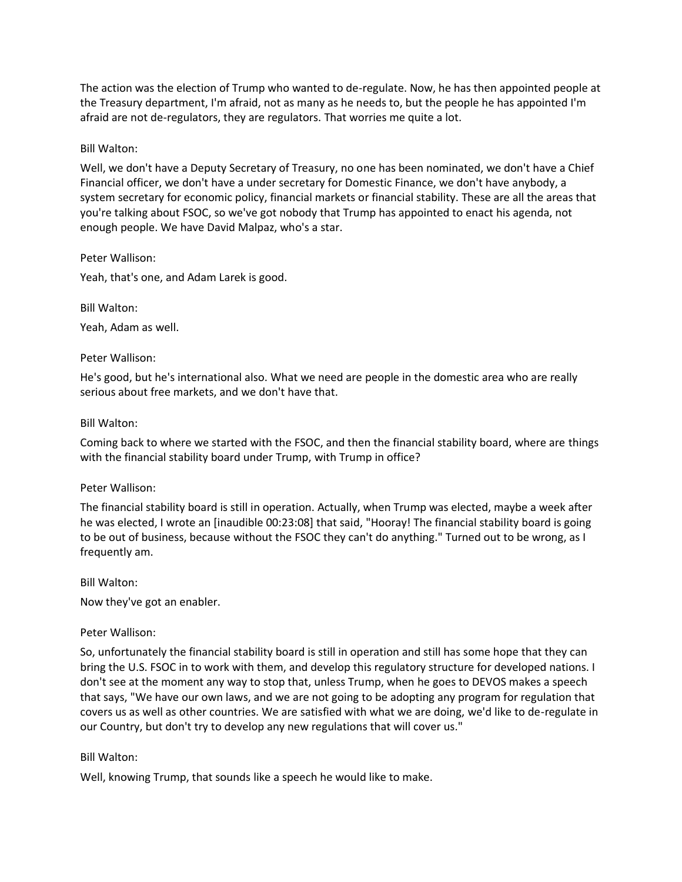The action was the election of Trump who wanted to de-regulate. Now, he has then appointed people at the Treasury department, I'm afraid, not as many as he needs to, but the people he has appointed I'm afraid are not de-regulators, they are regulators. That worries me quite a lot.

## Bill Walton:

Well, we don't have a Deputy Secretary of Treasury, no one has been nominated, we don't have a Chief Financial officer, we don't have a under secretary for Domestic Finance, we don't have anybody, a system secretary for economic policy, financial markets or financial stability. These are all the areas that you're talking about FSOC, so we've got nobody that Trump has appointed to enact his agenda, not enough people. We have David Malpaz, who's a star.

Peter Wallison:

Yeah, that's one, and Adam Larek is good.

Bill Walton:

Yeah, Adam as well.

### Peter Wallison:

He's good, but he's international also. What we need are people in the domestic area who are really serious about free markets, and we don't have that.

### Bill Walton:

Coming back to where we started with the FSOC, and then the financial stability board, where are things with the financial stability board under Trump, with Trump in office?

#### Peter Wallison:

The financial stability board is still in operation. Actually, when Trump was elected, maybe a week after he was elected, I wrote an [inaudible 00:23:08] that said, "Hooray! The financial stability board is going to be out of business, because without the FSOC they can't do anything." Turned out to be wrong, as I frequently am.

#### Bill Walton:

Now they've got an enabler.

## Peter Wallison:

So, unfortunately the financial stability board is still in operation and still has some hope that they can bring the U.S. FSOC in to work with them, and develop this regulatory structure for developed nations. I don't see at the moment any way to stop that, unless Trump, when he goes to DEVOS makes a speech that says, "We have our own laws, and we are not going to be adopting any program for regulation that covers us as well as other countries. We are satisfied with what we are doing, we'd like to de-regulate in our Country, but don't try to develop any new regulations that will cover us."

#### Bill Walton:

Well, knowing Trump, that sounds like a speech he would like to make.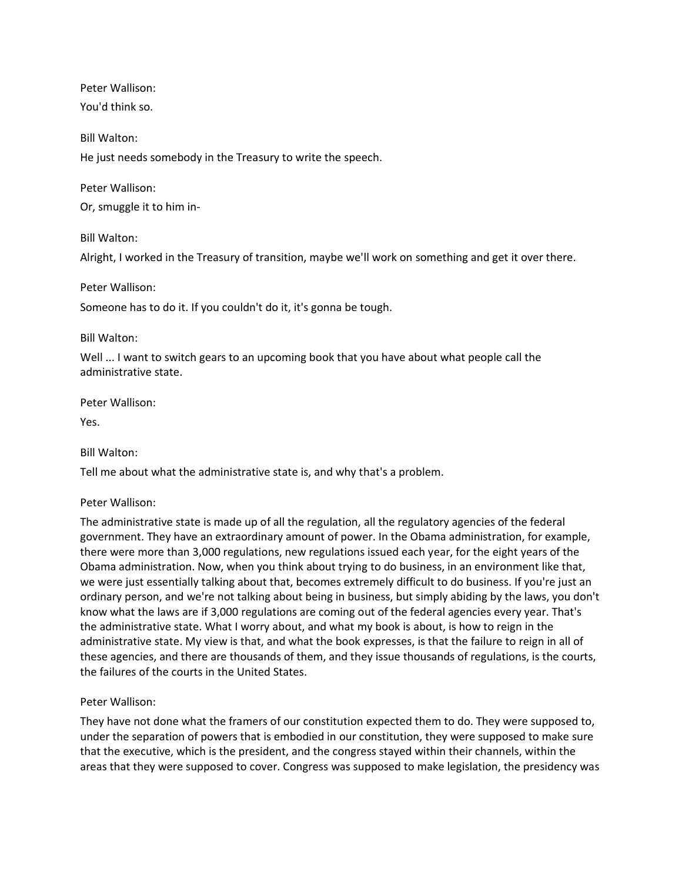Peter Wallison:

You'd think so.

Bill Walton:

He just needs somebody in the Treasury to write the speech.

Peter Wallison:

Or, smuggle it to him in-

Bill Walton:

Alright, I worked in the Treasury of transition, maybe we'll work on something and get it over there.

# Peter Wallison:

Someone has to do it. If you couldn't do it, it's gonna be tough.

# Bill Walton:

Well ... I want to switch gears to an upcoming book that you have about what people call the administrative state.

Peter Wallison:

Yes.

## Bill Walton:

Tell me about what the administrative state is, and why that's a problem.

# Peter Wallison:

The administrative state is made up of all the regulation, all the regulatory agencies of the federal government. They have an extraordinary amount of power. In the Obama administration, for example, there were more than 3,000 regulations, new regulations issued each year, for the eight years of the Obama administration. Now, when you think about trying to do business, in an environment like that, we were just essentially talking about that, becomes extremely difficult to do business. If you're just an ordinary person, and we're not talking about being in business, but simply abiding by the laws, you don't know what the laws are if 3,000 regulations are coming out of the federal agencies every year. That's the administrative state. What I worry about, and what my book is about, is how to reign in the administrative state. My view is that, and what the book expresses, is that the failure to reign in all of these agencies, and there are thousands of them, and they issue thousands of regulations, is the courts, the failures of the courts in the United States.

# Peter Wallison:

They have not done what the framers of our constitution expected them to do. They were supposed to, under the separation of powers that is embodied in our constitution, they were supposed to make sure that the executive, which is the president, and the congress stayed within their channels, within the areas that they were supposed to cover. Congress was supposed to make legislation, the presidency was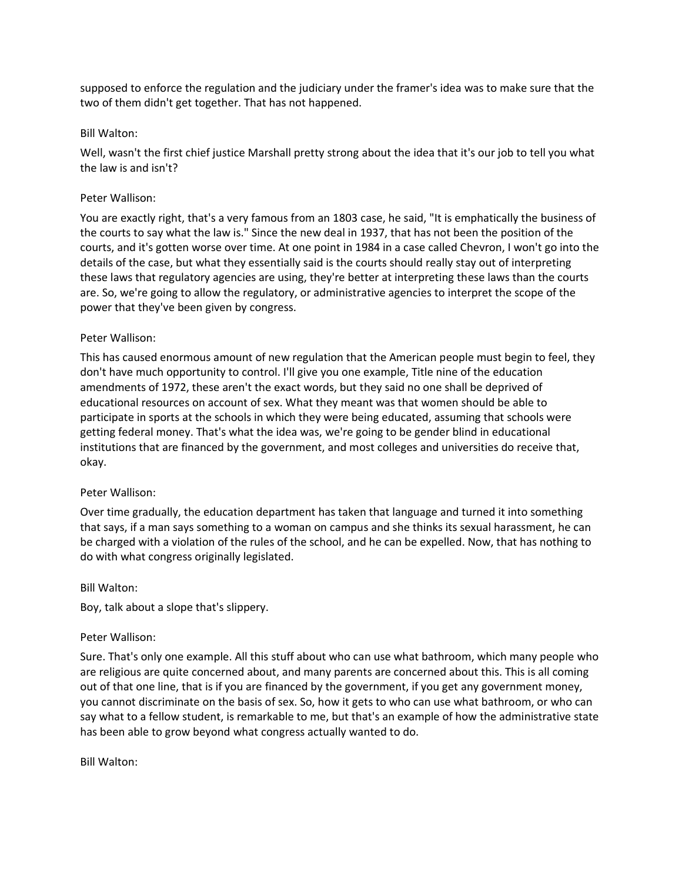supposed to enforce the regulation and the judiciary under the framer's idea was to make sure that the two of them didn't get together. That has not happened.

## Bill Walton:

Well, wasn't the first chief justice Marshall pretty strong about the idea that it's our job to tell you what the law is and isn't?

## Peter Wallison:

You are exactly right, that's a very famous from an 1803 case, he said, "It is emphatically the business of the courts to say what the law is." Since the new deal in 1937, that has not been the position of the courts, and it's gotten worse over time. At one point in 1984 in a case called Chevron, I won't go into the details of the case, but what they essentially said is the courts should really stay out of interpreting these laws that regulatory agencies are using, they're better at interpreting these laws than the courts are. So, we're going to allow the regulatory, or administrative agencies to interpret the scope of the power that they've been given by congress.

## Peter Wallison:

This has caused enormous amount of new regulation that the American people must begin to feel, they don't have much opportunity to control. I'll give you one example, Title nine of the education amendments of 1972, these aren't the exact words, but they said no one shall be deprived of educational resources on account of sex. What they meant was that women should be able to participate in sports at the schools in which they were being educated, assuming that schools were getting federal money. That's what the idea was, we're going to be gender blind in educational institutions that are financed by the government, and most colleges and universities do receive that, okay.

## Peter Wallison:

Over time gradually, the education department has taken that language and turned it into something that says, if a man says something to a woman on campus and she thinks its sexual harassment, he can be charged with a violation of the rules of the school, and he can be expelled. Now, that has nothing to do with what congress originally legislated.

## Bill Walton:

Boy, talk about a slope that's slippery.

## Peter Wallison:

Sure. That's only one example. All this stuff about who can use what bathroom, which many people who are religious are quite concerned about, and many parents are concerned about this. This is all coming out of that one line, that is if you are financed by the government, if you get any government money, you cannot discriminate on the basis of sex. So, how it gets to who can use what bathroom, or who can say what to a fellow student, is remarkable to me, but that's an example of how the administrative state has been able to grow beyond what congress actually wanted to do.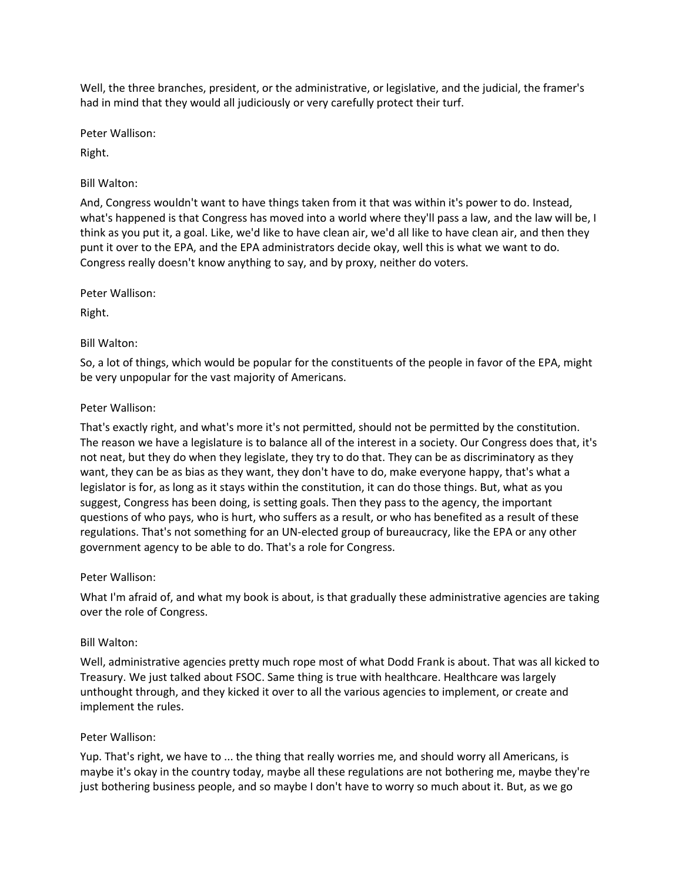Well, the three branches, president, or the administrative, or legislative, and the judicial, the framer's had in mind that they would all judiciously or very carefully protect their turf.

Peter Wallison:

Right.

# Bill Walton:

And, Congress wouldn't want to have things taken from it that was within it's power to do. Instead, what's happened is that Congress has moved into a world where they'll pass a law, and the law will be, I think as you put it, a goal. Like, we'd like to have clean air, we'd all like to have clean air, and then they punt it over to the EPA, and the EPA administrators decide okay, well this is what we want to do. Congress really doesn't know anything to say, and by proxy, neither do voters.

Peter Wallison:

Right.

# Bill Walton:

So, a lot of things, which would be popular for the constituents of the people in favor of the EPA, might be very unpopular for the vast majority of Americans.

# Peter Wallison:

That's exactly right, and what's more it's not permitted, should not be permitted by the constitution. The reason we have a legislature is to balance all of the interest in a society. Our Congress does that, it's not neat, but they do when they legislate, they try to do that. They can be as discriminatory as they want, they can be as bias as they want, they don't have to do, make everyone happy, that's what a legislator is for, as long as it stays within the constitution, it can do those things. But, what as you suggest, Congress has been doing, is setting goals. Then they pass to the agency, the important questions of who pays, who is hurt, who suffers as a result, or who has benefited as a result of these regulations. That's not something for an UN-elected group of bureaucracy, like the EPA or any other government agency to be able to do. That's a role for Congress.

## Peter Wallison:

What I'm afraid of, and what my book is about, is that gradually these administrative agencies are taking over the role of Congress.

## Bill Walton:

Well, administrative agencies pretty much rope most of what Dodd Frank is about. That was all kicked to Treasury. We just talked about FSOC. Same thing is true with healthcare. Healthcare was largely unthought through, and they kicked it over to all the various agencies to implement, or create and implement the rules.

# Peter Wallison:

Yup. That's right, we have to ... the thing that really worries me, and should worry all Americans, is maybe it's okay in the country today, maybe all these regulations are not bothering me, maybe they're just bothering business people, and so maybe I don't have to worry so much about it. But, as we go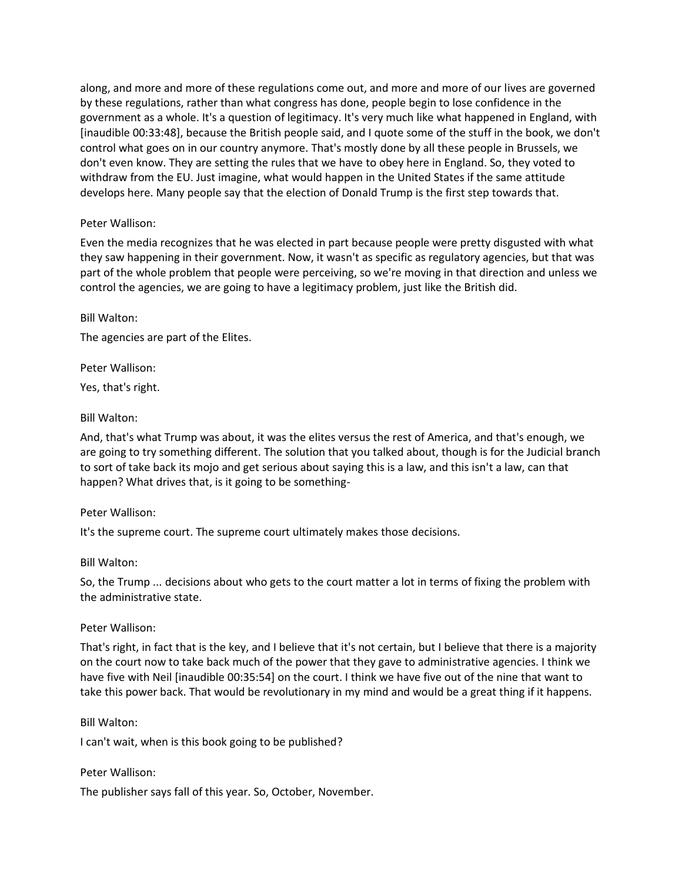along, and more and more of these regulations come out, and more and more of our lives are governed by these regulations, rather than what congress has done, people begin to lose confidence in the government as a whole. It's a question of legitimacy. It's very much like what happened in England, with [inaudible 00:33:48], because the British people said, and I quote some of the stuff in the book, we don't control what goes on in our country anymore. That's mostly done by all these people in Brussels, we don't even know. They are setting the rules that we have to obey here in England. So, they voted to withdraw from the EU. Just imagine, what would happen in the United States if the same attitude develops here. Many people say that the election of Donald Trump is the first step towards that.

## Peter Wallison:

Even the media recognizes that he was elected in part because people were pretty disgusted with what they saw happening in their government. Now, it wasn't as specific as regulatory agencies, but that was part of the whole problem that people were perceiving, so we're moving in that direction and unless we control the agencies, we are going to have a legitimacy problem, just like the British did.

Bill Walton:

The agencies are part of the Elites.

Peter Wallison:

Yes, that's right.

### Bill Walton:

And, that's what Trump was about, it was the elites versus the rest of America, and that's enough, we are going to try something different. The solution that you talked about, though is for the Judicial branch to sort of take back its mojo and get serious about saying this is a law, and this isn't a law, can that happen? What drives that, is it going to be something-

#### Peter Wallison:

It's the supreme court. The supreme court ultimately makes those decisions.

#### Bill Walton:

So, the Trump ... decisions about who gets to the court matter a lot in terms of fixing the problem with the administrative state.

#### Peter Wallison:

That's right, in fact that is the key, and I believe that it's not certain, but I believe that there is a majority on the court now to take back much of the power that they gave to administrative agencies. I think we have five with Neil [inaudible 00:35:54] on the court. I think we have five out of the nine that want to take this power back. That would be revolutionary in my mind and would be a great thing if it happens.

#### Bill Walton:

I can't wait, when is this book going to be published?

#### Peter Wallison:

The publisher says fall of this year. So, October, November.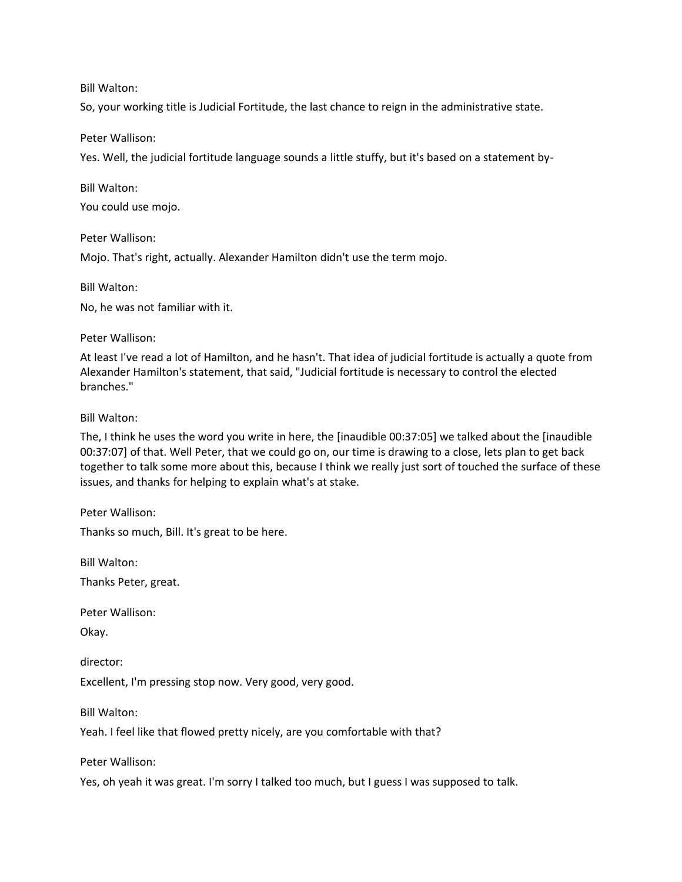Bill Walton:

So, your working title is Judicial Fortitude, the last chance to reign in the administrative state.

### Peter Wallison:

Yes. Well, the judicial fortitude language sounds a little stuffy, but it's based on a statement by-

Bill Walton:

You could use mojo.

Peter Wallison:

Mojo. That's right, actually. Alexander Hamilton didn't use the term mojo.

Bill Walton:

No, he was not familiar with it.

Peter Wallison:

At least I've read a lot of Hamilton, and he hasn't. That idea of judicial fortitude is actually a quote from Alexander Hamilton's statement, that said, "Judicial fortitude is necessary to control the elected branches."

Bill Walton:

The, I think he uses the word you write in here, the [inaudible 00:37:05] we talked about the [inaudible 00:37:07] of that. Well Peter, that we could go on, our time is drawing to a close, lets plan to get back together to talk some more about this, because I think we really just sort of touched the surface of these issues, and thanks for helping to explain what's at stake.

Peter Wallison:

Thanks so much, Bill. It's great to be here.

Bill Walton:

Thanks Peter, great.

Peter Wallison:

Okay.

director:

Excellent, I'm pressing stop now. Very good, very good.

Bill Walton:

Yeah. I feel like that flowed pretty nicely, are you comfortable with that?

Peter Wallison:

Yes, oh yeah it was great. I'm sorry I talked too much, but I guess I was supposed to talk.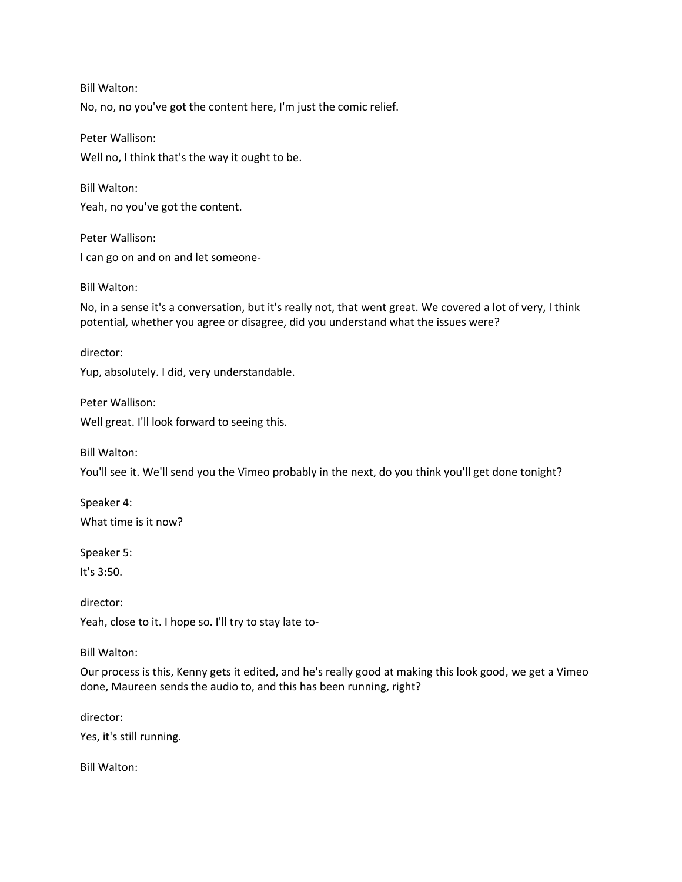Bill Walton: No, no, no you've got the content here, I'm just the comic relief.

Peter Wallison: Well no, I think that's the way it ought to be.

Bill Walton: Yeah, no you've got the content.

Peter Wallison: I can go on and on and let someone-

Bill Walton:

No, in a sense it's a conversation, but it's really not, that went great. We covered a lot of very, I think potential, whether you agree or disagree, did you understand what the issues were?

director: Yup, absolutely. I did, very understandable.

Peter Wallison: Well great. I'll look forward to seeing this.

Bill Walton:

You'll see it. We'll send you the Vimeo probably in the next, do you think you'll get done tonight?

Speaker 4: What time is it now?

Speaker 5:

It's 3:50.

director: Yeah, close to it. I hope so. I'll try to stay late to-

Bill Walton:

Our process is this, Kenny gets it edited, and he's really good at making this look good, we get a Vimeo done, Maureen sends the audio to, and this has been running, right?

director:

Yes, it's still running.